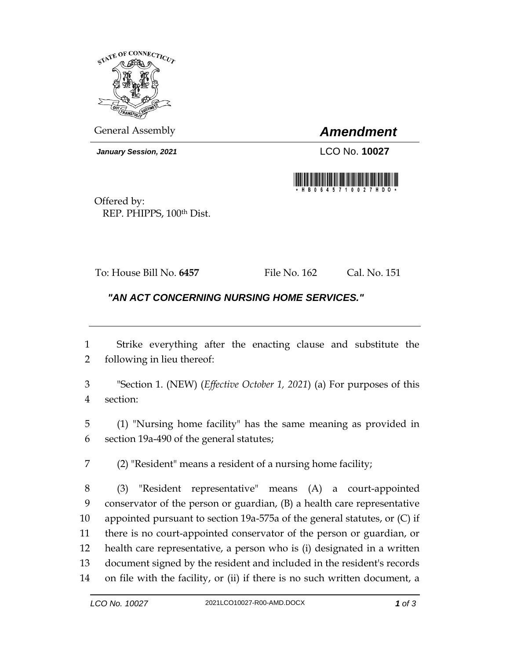

General Assembly *Amendment*

*January Session, 2021* LCO No. **10027**



Offered by: REP. PHIPPS, 100th Dist.

To: House Bill No. **6457** File No. 162 Cal. No. 151

## *"AN ACT CONCERNING NURSING HOME SERVICES."*

 Strike everything after the enacting clause and substitute the following in lieu thereof:

 "Section 1. (NEW) (*Effective October 1, 2021*) (a) For purposes of this section:

 (1) "Nursing home facility" has the same meaning as provided in section 19a-490 of the general statutes;

(2) "Resident" means a resident of a nursing home facility;

 (3) "Resident representative" means (A) a court-appointed conservator of the person or guardian, (B) a health care representative appointed pursuant to section 19a-575a of the general statutes, or (C) if there is no court-appointed conservator of the person or guardian, or health care representative, a person who is (i) designated in a written document signed by the resident and included in the resident's records on file with the facility, or (ii) if there is no such written document, a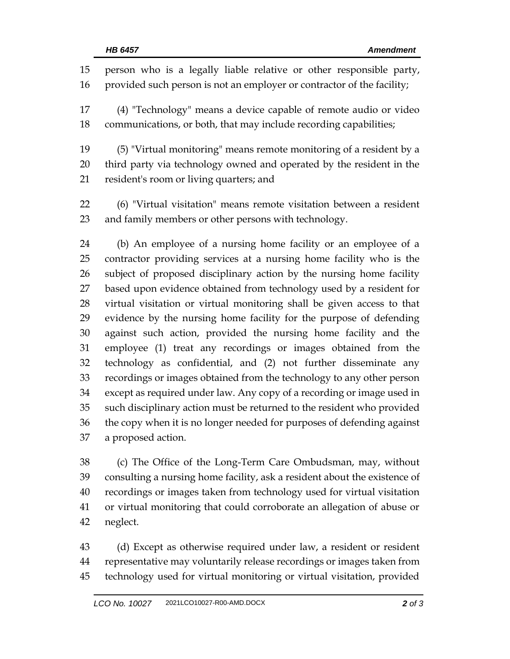person who is a legally liable relative or other responsible party, 16 provided such person is not an employer or contractor of the facility; (4) "Technology" means a device capable of remote audio or video communications, or both, that may include recording capabilities; (5) "Virtual monitoring" means remote monitoring of a resident by a third party via technology owned and operated by the resident in the resident's room or living quarters; and (6) "Virtual visitation" means remote visitation between a resident and family members or other persons with technology. (b) An employee of a nursing home facility or an employee of a contractor providing services at a nursing home facility who is the subject of proposed disciplinary action by the nursing home facility based upon evidence obtained from technology used by a resident for virtual visitation or virtual monitoring shall be given access to that evidence by the nursing home facility for the purpose of defending against such action, provided the nursing home facility and the employee (1) treat any recordings or images obtained from the technology as confidential, and (2) not further disseminate any recordings or images obtained from the technology to any other person except as required under law. Any copy of a recording or image used in such disciplinary action must be returned to the resident who provided the copy when it is no longer needed for purposes of defending against a proposed action.

 (c) The Office of the Long-Term Care Ombudsman, may, without consulting a nursing home facility, ask a resident about the existence of recordings or images taken from technology used for virtual visitation or virtual monitoring that could corroborate an allegation of abuse or neglect.

 (d) Except as otherwise required under law, a resident or resident representative may voluntarily release recordings or images taken from technology used for virtual monitoring or virtual visitation, provided